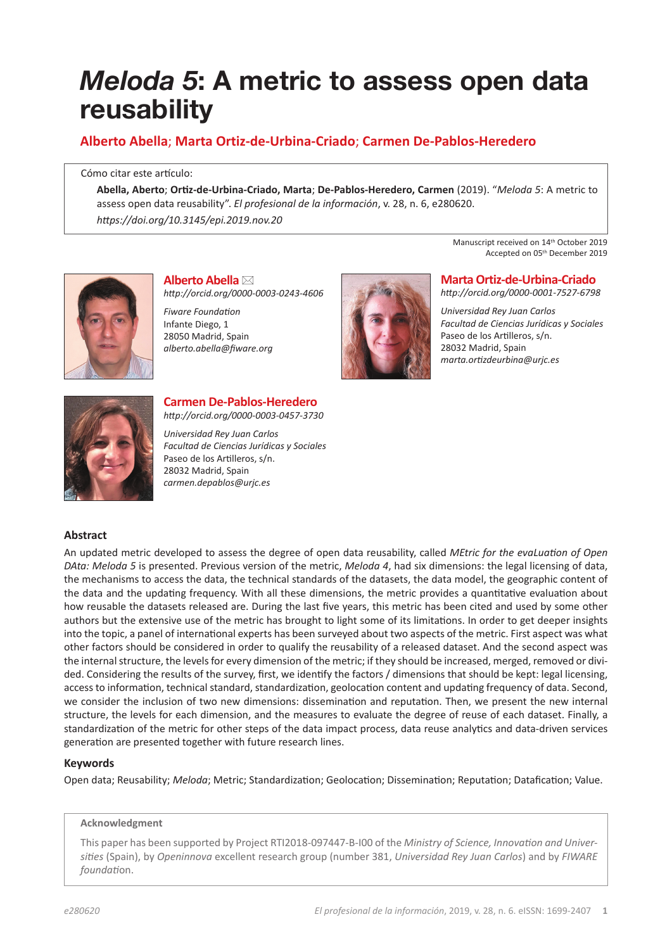# *Meloda 5***: A metric to assess open data reusability**

## **Alberto Abella**; **Marta Ortiz-de-Urbina-Criado**; **Carmen De-Pablos-Heredero**

Cómo citar este artículo:

**Abella, Aberto**; **Ortiz-de-Urbina-Criado, Marta**; **De-Pablos-Heredero, Carmen** (2019). "*Meloda 5*: A metric to assess open data reusability". *El profesional de la información*, v. 28, n. 6, e280620. *https://doi.org/10.3145/epi.2019.nov.20*



**Alberto Abella** \* *http://orcid.org/0000-0003-0243-4606*

*Fiware Foundation* Infante Diego, 1 28050 Madrid, Spain *alberto.abella@fiware.org* 



Manuscript received on 14<sup>th</sup> October 2019 Accepted on 05th December 2019

**Marta Ortiz-de-Urbina-Criado**  *http://orcid.org/0000-0001-7527-6798*

*Universidad Rey Juan Carlos Facultad de Ciencias Jurídicas y Sociales* Paseo de los Artilleros, s/n. 28032 Madrid, Spain *marta.ortizdeurbina@urjc.es*



## **Carmen De-Pablos-Heredero** *http://orcid.org/0000-0003-0457-3730*

*Universidad Rey Juan Carlos Facultad de Ciencias Jurídicas y Sociales* Paseo de los Artilleros, s/n. 28032 Madrid, Spain *carmen.depablos@urjc.es*

## **Abstract**

An updated metric developed to assess the degree of open data reusability, called *MEtric for the evaLuation of Open DAta: Meloda 5* is presented. Previous version of the metric, *Meloda 4*, had six dimensions: the legal licensing of data, the mechanisms to access the data, the technical standards of the datasets, the data model, the geographic content of the data and the updating frequency. With all these dimensions, the metric provides a quantitative evaluation about how reusable the datasets released are. During the last five years, this metric has been cited and used by some other authors but the extensive use of the metric has brought to light some of its limitations. In order to get deeper insights into the topic, a panel of international experts has been surveyed about two aspects of the metric. First aspect was what other factors should be considered in order to qualify the reusability of a released dataset. And the second aspect was the internal structure, the levels for every dimension of the metric; if they should be increased, merged, removed or divided. Considering the results of the survey, first, we identify the factors / dimensions that should be kept: legal licensing, access to information, technical standard, standardization, geolocation content and updating frequency of data. Second, we consider the inclusion of two new dimensions: dissemination and reputation. Then, we present the new internal structure, the levels for each dimension, and the measures to evaluate the degree of reuse of each dataset. Finally, a standardization of the metric for other steps of the data impact process, data reuse analytics and data-driven services generation are presented together with future research lines.

## **Keywords**

Open data; Reusability; *Meloda*; Metric; Standardization; Geolocation; Dissemination; Reputation; Datafication; Value.

#### **Acknowledgment**

This paper has been supported by Project RTI2018-097447-B-I00 of the *Ministry of Science, Innovation and Universities* (Spain), by *Openinnova* excellent research group (number 381, *Universidad Rey Juan Carlos*) and by *FIWARE foundati*on.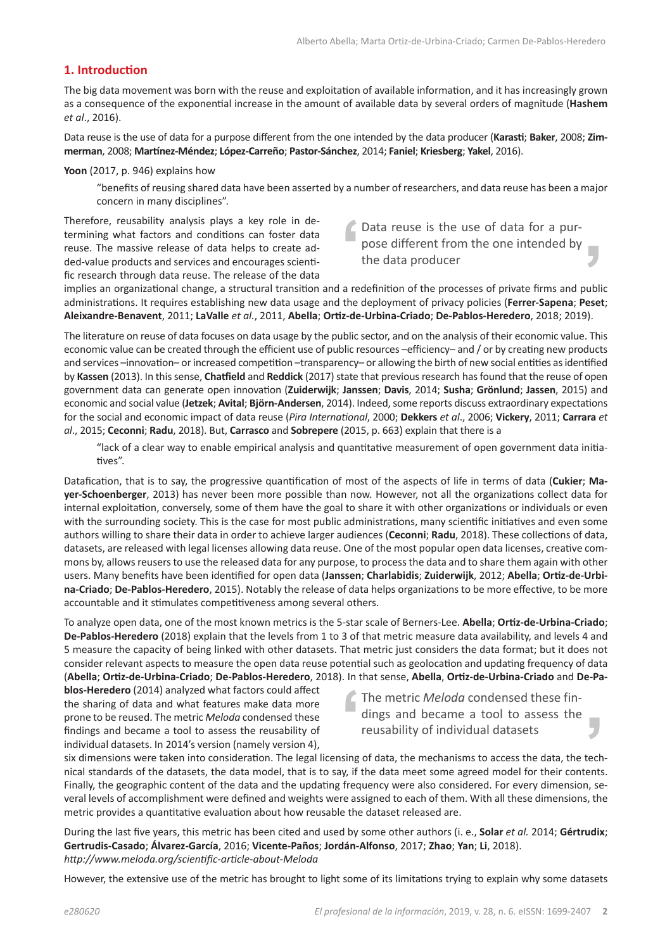## **1. Introduction**

The big data movement was born with the reuse and exploitation of available information, and it has increasingly grown as a consequence of the exponential increase in the amount of available data by several orders of magnitude (**Hashem** *et al*., 2016).

Data reuse is the use of data for a purpose different from the one intended by the data producer (**Karasti**; **Baker**, 2008; **Zimmerman**, 2008; **Martínez-Méndez**; **López-Carreño**; **Pastor-Sánchez**, 2014; **Faniel**; **Kriesberg**; **Yakel**, 2016).

**Yoon** (2017, p. 946) explains how

"benefits of reusing shared data have been asserted by a number of researchers, and data reuse has been a major concern in many disciplines".

Therefore, reusability analysis plays a key role in determining what factors and conditions can foster data reuse. The massive release of data helps to create added-value products and services and encourages scientific research through data reuse. The release of the data

Data reuse is the use of data for a purpose different from the one intended by the data producer

implies an organizational change, a structural transition and a redefinition of the processes of private firms and public administrations. It requires establishing new data usage and the deployment of privacy policies (**Ferrer-Sapena**; **Peset**; **Aleixandre-Benavent**, 2011; **LaValle** *et al.*, 2011, **Abella**; **Ortiz-de-Urbina-Criado**; **De-Pablos-Heredero**, 2018; 2019).

The literature on reuse of data focuses on data usage by the public sector, and on the analysis of their economic value. This economic value can be created through the efficient use of public resources –efficiency– and / or by creating new products and services –innovation– or increased competition –transparency– or allowing the birth of new social entities as identified by **Kassen** (2013). In this sense, **Chatfield** and **Reddick** (2017) state that previous research has found that the reuse of open government data can generate open innovation (**Zuiderwijk**; **Janssen**; **Davis**, 2014; **Susha**; **Grönlund**; **Jassen**, 2015) and economic and social value (**Jetzek**; **Avital**; **Björn-Andersen**, 2014). Indeed, some reports discuss extraordinary expectations for the social and economic impact of data reuse (*Pira International*, 2000; **Dekkers** *et al*., 2006; **Vickery**, 2011; **Carrara** *et al*., 2015; **Ceconni**; **Radu**, 2018). But, **Carrasco** and **Sobrepere** (2015, p. 663) explain that there is a

"lack of a clear way to enable empirical analysis and quantitative measurement of open government data initiatives".

Datafication, that is to say, the progressive quantification of most of the aspects of life in terms of data (**Cukier**; **Mayer-Schoenberger**, 2013) has never been more possible than now. However, not all the organizations collect data for internal exploitation, conversely, some of them have the goal to share it with other organizations or individuals or even with the surrounding society. This is the case for most public administrations, many scientific initiatives and even some authors willing to share their data in order to achieve larger audiences (**Ceconni**; **Radu**, 2018). These collections of data, datasets, are released with legal licenses allowing data reuse. One of the most popular open data licenses, creative commons by, allows reusers to use the released data for any purpose, to process the data and to share them again with other users. Many benefits have been identified for open data (**Janssen**; **Charlabidis**; **Zuiderwijk**, 2012; **Abella**; **Ortiz-de-Urbina-Criado**; **De-Pablos-Heredero**, 2015). Notably the release of data helps organizations to be more effective, to be more accountable and it stimulates competitiveness among several others.

To analyze open data, one of the most known metrics is the 5-star scale of Berners-Lee. **Abella**; **Ortiz-de-Urbina-Criado**; **De-Pablos-Heredero** (2018) explain that the levels from 1 to 3 of that metric measure data availability, and levels 4 and 5 measure the capacity of being linked with other datasets. That metric just considers the data format; but it does not consider relevant aspects to measure the open data reuse potential such as geolocation and updating frequency of data (**Abella**; **Ortiz-de-Urbina-Criado**; **De-Pablos-Heredero**, 2018). In that sense, **Abella**, **Ortiz-de-Urbina-Criado** and **De-Pa-**

**blos-Heredero** (2014) analyzed what factors could affect the sharing of data and what features make data more prone to be reused. The metric *Meloda* condensed these findings and became a tool to assess the reusability of individual datasets. In 2014's version (namely version 4),

The metric *Meloda* condensed these findings and became a tool to assess the reusability of individual datasets

six dimensions were taken into consideration. The legal licensing of data, the mechanisms to access the data, the technical standards of the datasets, the data model, that is to say, if the data meet some agreed model for their contents. Finally, the geographic content of the data and the updating frequency were also considered. For every dimension, several levels of accomplishment were defined and weights were assigned to each of them. With all these dimensions, the metric provides a quantitative evaluation about how reusable the dataset released are.

During the last five years, this metric has been cited and used by some other authors (i. e., **Solar** *et al.* 2014; **Gértrudix**; **Gertrudis-Casado**; **Álvarez-García**, 2016; **Vicente-Paños**; **Jordán-Alfonso**, 2017; **Zhao**; **Yan**; **Li**, 2018). *http://www.meloda.org/scientific-article-about-Meloda*

However, the extensive use of the metric has brought to light some of its limitations trying to explain why some datasets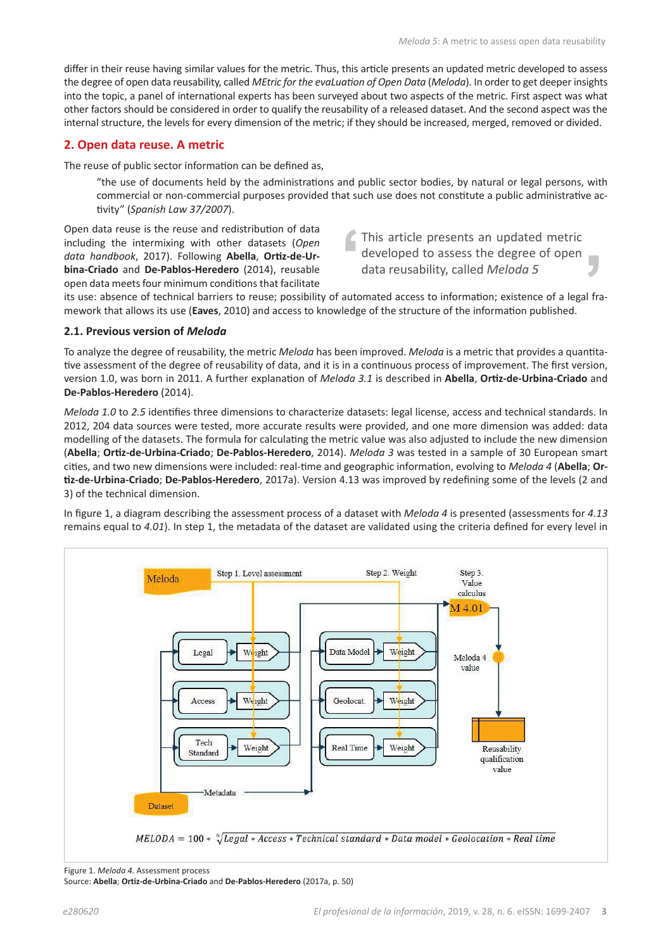differ in their reuse having similar values for the metric. Thus, this article presents an updated metric developed to assess the degree of open data reusability, called *MEtric for the evaLuation of Open Data* (*Meloda*). In order to get deeper insights into the topic, a panel of international experts has been surveyed about two aspects of the metric. First aspect was what other factors should be considered in order to qualify the reusability of a released dataset. And the second aspect was the internal structure, the levels for every dimension of the metric; if they should be increased, merged, removed or divided.

#### **2. Open data reuse. A metric**

The reuse of public sector information can be defined as,

"the use of documents held by the administrations and public sector bodies, by natural or legal persons, with commercial or non-commercial purposes provided that such use does not constitute a public administrative activity" (*Spanish Law 37/2007*).

Open data reuse is the reuse and redistribution of data including the intermixing with other datasets (*Open data handbook*, 2017). Following **Abella**, **Ortiz-de-Urbina-Criado** and **De-Pablos-Heredero** (2014), reusable open data meets four minimum conditions that facilitate

This article presents an updated metric developed to assess the degree of open data reusability, called *Meloda 5*

its use: absence of technical barriers to reuse; possibility of automated access to information; existence of a legal framework that allows its use (**Eaves**, 2010) and access to knowledge of the structure of the information published.

#### **2.1. Previous version of** *Meloda*

To analyze the degree of reusability, the metric *Meloda* has been improved. *Meloda* is a metric that provides a quantitative assessment of the degree of reusability of data, and it is in a continuous process of improvement. The first version, version 1.0, was born in 2011. A further explanation of *Meloda 3.1* is described in **Abella**, **Ortiz-de-Urbina-Criado** and **De-Pablos-Heredero** (2014).

*Meloda 1.0* to *2.5* identifies three dimensions to characterize datasets: legal license, access and technical standards. In 2012, 204 data sources were tested, more accurate results were provided, and one more dimension was added: data modelling of the datasets. The formula for calculating the metric value was also adjusted to include the new dimension (**Abella**; **Ortiz-de-Urbina-Criado**; **De-Pablos-Heredero**, 2014). *Meloda 3* was tested in a sample of 30 European smart cities, and two new dimensions were included: real-time and geographic information, evolving to *Meloda 4* (**Abella**; **Ortiz-de-Urbina-Criado**; **De-Pablos-Heredero**, 2017a). Version 4.13 was improved by redefining some of the levels (2 and 3) of the technical dimension.

In figure 1, a diagram describing the assessment process of a dataset with *Meloda 4* is presented (assessments for *4.13* remains equal to *4.01*). In step 1, the metadata of the dataset are validated using the criteria defined for every level in



Figure 1. *Meloda 4.* Assessment process Source: **Abella**; **Ortiz-de-Urbina-Criado** and **De-Pablos-Heredero** (2017a, p. 50)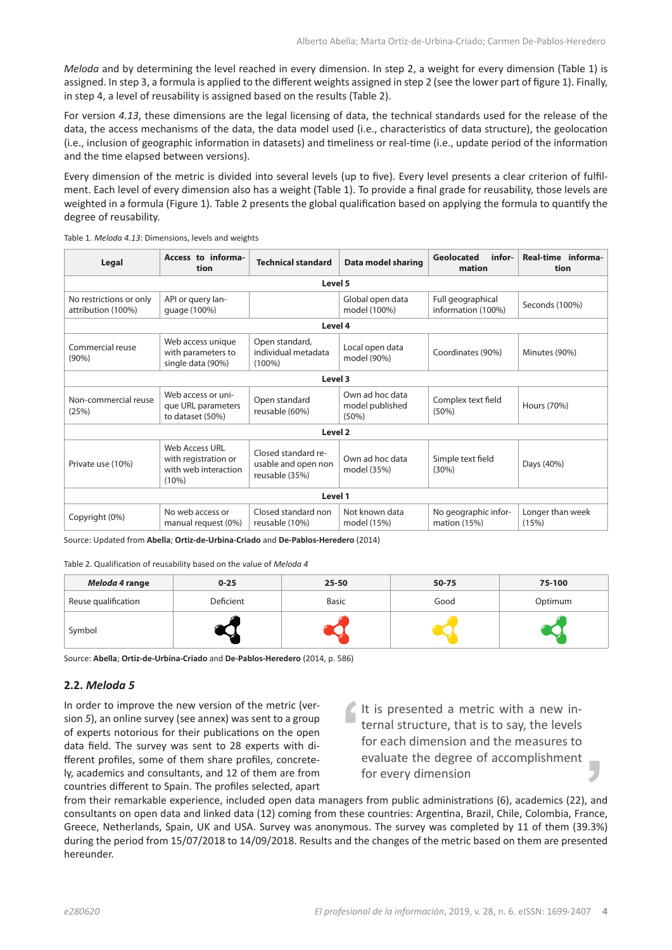*Meloda* and by determining the level reached in every dimension. In step 2, a weight for every dimension (Table 1) is assigned. In step 3, a formula is applied to the different weights assigned in step 2 (see the lower part of figure 1). Finally, in step 4, a level of reusability is assigned based on the results (Table 2).

For version *4.13*, these dimensions are the legal licensing of data, the technical standards used for the release of the data, the access mechanisms of the data, the data model used (i.e., characteristics of data structure), the geolocation (i.e., inclusion of geographic information in datasets) and timeliness or real-time (i.e., update period of the information and the time elapsed between versions).

Every dimension of the metric is divided into several levels (up to five). Every level presents a clear criterion of fulfilment. Each level of every dimension also has a weight (Table 1). To provide a final grade for reusability, those levels are weighted in a formula (Figure 1). Table 2 presents the global qualification based on applying the formula to quantify the degree of reusability.

Table 1. *Meloda 4.13*: Dimensions, levels and weights

| Legal                                         | Access to informa-<br>tion                                              | infor-<br>Geolocated<br><b>Technical standard</b><br>Data model sharing<br>mation |                                             | Real-time informa-<br>tion              |                           |
|-----------------------------------------------|-------------------------------------------------------------------------|-----------------------------------------------------------------------------------|---------------------------------------------|-----------------------------------------|---------------------------|
|                                               |                                                                         | Level 5                                                                           |                                             |                                         |                           |
| No restrictions or only<br>attribution (100%) | API or query lan-<br>quage (100%)                                       |                                                                                   | Global open data<br>model (100%)            | Full geographical<br>information (100%) | Seconds (100%)            |
|                                               |                                                                         | Level 4                                                                           |                                             |                                         |                           |
| Commercial reuse<br>(90%)                     | Web access unique<br>with parameters to<br>single data (90%)            | Open standard,<br>individual metadata<br>$(100\%)$                                | Local open data<br>model (90%)              | Coordinates (90%)                       | Minutes (90%)             |
| Level 3                                       |                                                                         |                                                                                   |                                             |                                         |                           |
| Non-commercial reuse<br>(25%)                 | Web access or uni-<br>que URL parameters<br>to dataset (50%)            | Open standard<br>reusable (60%)                                                   | Own ad hoc data<br>model published<br>(50%) | Complex text field<br>(50%)             | Hours (70%)               |
| Level <sub>2</sub>                            |                                                                         |                                                                                   |                                             |                                         |                           |
| Private use (10%)                             | Web Access URL<br>with registration or<br>with web interaction<br>(10%) | Closed standard re-<br>usable and open non<br>reusable (35%)                      | Own ad hoc data<br>model (35%)              | Simple text field<br>(30%)              | Days (40%)                |
| Level 1                                       |                                                                         |                                                                                   |                                             |                                         |                           |
| Copyright (0%)                                | No web access or<br>manual request (0%)                                 | Closed standard non<br>reusable (10%)                                             | Not known data<br>model (15%)               | No geographic infor-<br>mation $(15%)$  | Longer than week<br>(15%) |

Source: Updated from **Abella**; **Ortiz-de-Urbina-Criado** and **De-Pablos-Heredero** (2014)

Table 2. Qualification of reusability based on the value of *Meloda 4*

| Meloda 4 range      | $0 - 25$  | 25-50        | 50-75 | 75-100  |
|---------------------|-----------|--------------|-------|---------|
| Reuse qualification | Deficient | <b>Basic</b> | Good  | Optimum |
| Symbol              |           |              |       |         |

Source: **Abella**; **Ortiz-de-Urbina-Criado** and **De-Pablos-Heredero** (2014, p. 586)

#### **2.2.** *Meloda 5*

In order to improve the new version of the metric (version *5*), an online survey (see annex) was sent to a group of experts notorious for their publications on the open data field. The survey was sent to 28 experts with different profiles, some of them share profiles, concretely, academics and consultants, and 12 of them are from countries different to Spain. The profiles selected, apart It is presented a metric with a new internal structure, that is to say, the levels for each dimension and the measures to evaluate the degree of accomplishment for every dimension

from their remarkable experience, included open data managers from public administrations (6), academics (22), and consultants on open data and linked data (12) coming from these countries: Argentina, Brazil, Chile, Colombia, France, Greece, Netherlands, Spain, UK and USA. Survey was anonymous. The survey was completed by 11 of them (39.3%) during the period from 15/07/2018 to 14/09/2018. Results and the changes of the metric based on them are presented hereunder.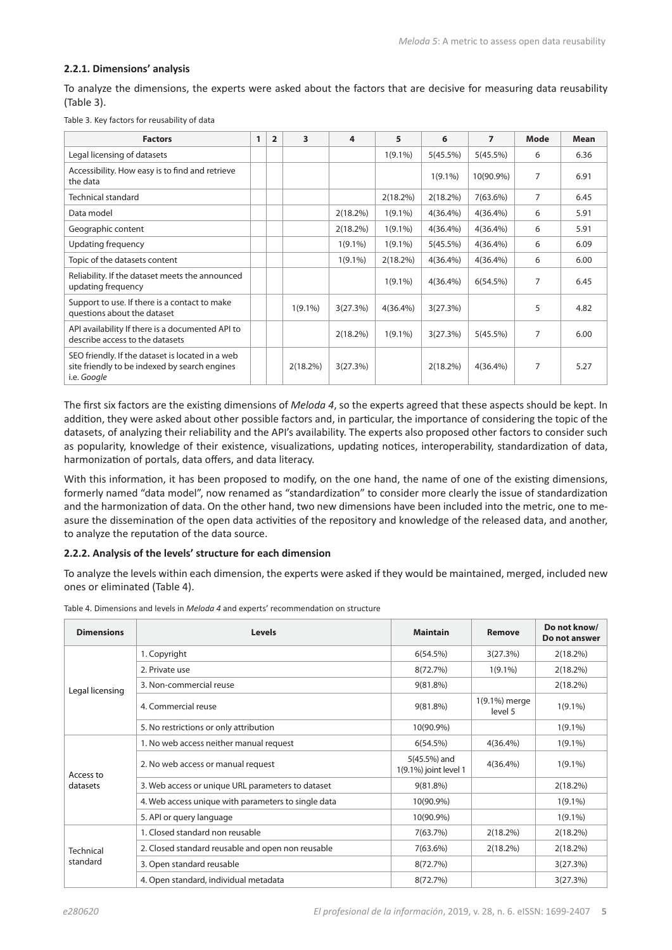#### **2.2.1. Dimensions' analysis**

To analyze the dimensions, the experts were asked about the factors that are decisive for measuring data reusability (Table 3).

|  |  |  | Table 3. Key factors for reusability of data |
|--|--|--|----------------------------------------------|
|--|--|--|----------------------------------------------|

| <b>Factors</b>                                                                                                   | 1 | $\overline{2}$ | 3           | 4           | 5           | 6           | $\overline{7}$ | <b>Mode</b> | Mean |
|------------------------------------------------------------------------------------------------------------------|---|----------------|-------------|-------------|-------------|-------------|----------------|-------------|------|
| Legal licensing of datasets                                                                                      |   |                |             |             | $1(9.1\%)$  | 5(45.5%)    | 5(45.5%)       | 6           | 6.36 |
| Accessibility. How easy is to find and retrieve<br>the data                                                      |   |                |             |             |             | $1(9.1\%)$  | 10(90.9%)      | 7           | 6.91 |
| Technical standard                                                                                               |   |                |             |             | 2(18.2%)    | 2(18.2%)    | 7(63.6%)       | 7           | 6.45 |
| Data model                                                                                                       |   |                |             | $2(18.2\%)$ | $1(9.1\%)$  | $4(36.4\%)$ | $4(36.4\%)$    | 6           | 5.91 |
| Geographic content                                                                                               |   |                |             | 2(18.2%)    | $1(9.1\%)$  | $4(36.4\%)$ | $4(36.4\%)$    | 6           | 5.91 |
| Updating frequency                                                                                               |   |                |             | $1(9.1\%)$  | $1(9.1\%)$  | 5(45.5%)    | $4(36.4\%)$    | 6           | 6.09 |
| Topic of the datasets content                                                                                    |   |                |             | $1(9.1\%)$  | $2(18.2\%)$ | $4(36.4\%)$ | $4(36.4\%)$    | 6           | 6.00 |
| Reliability. If the dataset meets the announced<br>updating frequency                                            |   |                |             |             | $1(9.1\%)$  | $4(36.4\%)$ | 6(54.5%)       | 7           | 6.45 |
| Support to use. If there is a contact to make<br>questions about the dataset                                     |   |                | $1(9.1\%)$  | 3(27.3%)    | $4(36.4\%)$ | 3(27.3%)    |                | 5           | 4.82 |
| API availability If there is a documented API to<br>describe access to the datasets                              |   |                |             | 2(18.2%)    | $1(9.1\%)$  | 3(27.3%)    | 5(45.5%)       | 7           | 6.00 |
| SEO friendly. If the dataset is located in a web<br>site friendly to be indexed by search engines<br>i.e. Google |   |                | $2(18.2\%)$ | 3(27.3%)    |             | 2(18.2%)    | $4(36.4\%)$    | 7           | 5.27 |

The first six factors are the existing dimensions of *Meloda 4*, so the experts agreed that these aspects should be kept. In addition, they were asked about other possible factors and, in particular, the importance of considering the topic of the datasets, of analyzing their reliability and the API's availability. The experts also proposed other factors to consider such as popularity, knowledge of their existence, visualizations, updating notices, interoperability, standardization of data, harmonization of portals, data offers, and data literacy.

With this information, it has been proposed to modify, on the one hand, the name of one of the existing dimensions, formerly named "data model", now renamed as "standardization" to consider more clearly the issue of standardization and the harmonization of data. On the other hand, two new dimensions have been included into the metric, one to measure the dissemination of the open data activities of the repository and knowledge of the released data, and another, to analyze the reputation of the data source.

#### **2.2.2. Analysis of the levels' structure for each dimension**

To analyze the levels within each dimension, the experts were asked if they would be maintained, merged, included new ones or eliminated (Table 4).

| <b>Dimensions</b>     | <b>Levels</b>                                       | <b>Maintain</b>                       | <b>Remove</b>            | Do not know/<br>Do not answer |
|-----------------------|-----------------------------------------------------|---------------------------------------|--------------------------|-------------------------------|
|                       | 1. Copyright                                        | 6(54.5%)                              | 3(27.3%)                 | 2(18.2%)                      |
|                       | 2. Private use                                      | 8(72.7%)                              | $1(9.1\%)$               | 2(18.2%)                      |
| Legal licensing       | 3. Non-commercial reuse                             | $9(81.8\%)$                           |                          | $2(18.2\%)$                   |
|                       | 4. Commercial reuse                                 | $9(81.8\%)$                           | 1(9.1%) merge<br>level 5 | $1(9.1\%)$                    |
|                       | 5. No restrictions or only attribution              | 10(90.9%)                             |                          | $1(9.1\%)$                    |
|                       | 1. No web access neither manual request             | 6(54.5%)                              | $4(36.4\%)$              | $1(9.1\%)$                    |
| Access to<br>datasets | 2. No web access or manual request                  | 5(45.5%) and<br>1(9.1%) joint level 1 | $4(36.4\%)$              | $1(9.1\%)$                    |
|                       | 3. Web access or unique URL parameters to dataset   | 9(81.8%)                              |                          | 2(18.2%)                      |
|                       | 4. Web access unique with parameters to single data | 10(90.9%)                             |                          | $1(9.1\%)$                    |
|                       | 5. API or query language                            | 10(90.9%)                             |                          | $1(9.1\%)$                    |
|                       | 1. Closed standard non reusable                     | 7(63.7%)                              | 2(18.2%)                 | 2(18.2%)                      |
| Technical             | 2. Closed standard reusable and open non reusable   | $7(63.6\%)$                           | 2(18.2%)                 | 2(18.2%)                      |
| standard              | 3. Open standard reusable                           | 8(72.7%)                              |                          | 3(27.3%)                      |
|                       | 4. Open standard, individual metadata               | 8(72.7%)                              |                          | 3(27.3%)                      |

Table 4. Dimensions and levels in *Meloda 4* and experts' recommendation on structure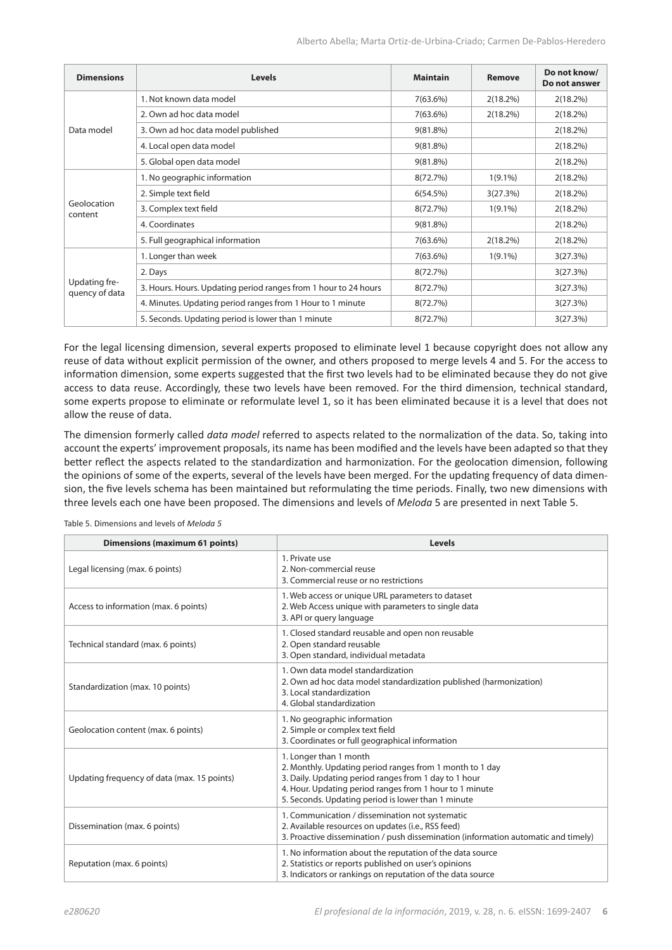| <b>Dimensions</b>               | <b>Levels</b>                                                   | <b>Maintain</b> | Remove      | Do not know/<br>Do not answer |
|---------------------------------|-----------------------------------------------------------------|-----------------|-------------|-------------------------------|
|                                 | 1. Not known data model                                         | 7(63.6%)        | $2(18.2\%)$ | 2(18.2%)                      |
|                                 | 2. Own ad hoc data model                                        | 7(63.6%)        | $2(18.2\%)$ | 2(18.2%)                      |
| Data model                      | 3. Own ad hoc data model published                              | $9(81.8\%)$     |             | $2(18.2\%)$                   |
|                                 | 4. Local open data model                                        | $9(81.8\%)$     |             | 2(18.2%)                      |
|                                 | 5. Global open data model                                       | $9(81.8\%)$     |             | 2(18.2%)                      |
| Geolocation<br>content          | 1. No geographic information                                    | 8(72.7%)        | $1(9.1\%)$  | 2(18.2%)                      |
|                                 | 2. Simple text field                                            | 6(54.5%)        | 3(27.3%)    | 2(18.2%)                      |
|                                 | 3. Complex text field                                           | 8(72.7%)        | $1(9.1\%)$  | 2(18.2%)                      |
|                                 | 4. Coordinates                                                  | 9(81.8%)        |             | 2(18.2%)                      |
|                                 | 5. Full geographical information                                | 7(63.6%)        | $2(18.2\%)$ | $2(18.2\%)$                   |
|                                 | 1. Longer than week                                             | 7(63.6%)        | $1(9.1\%)$  | 3(27.3%)                      |
| Updating fre-<br>quency of data | 2. Days                                                         | 8(72.7%)        |             | 3(27.3%)                      |
|                                 | 3. Hours. Hours. Updating period ranges from 1 hour to 24 hours | 8(72.7%)        |             | 3(27.3%)                      |
|                                 | 4. Minutes. Updating period ranges from 1 Hour to 1 minute      | 8(72.7%)        |             | 3(27.3%)                      |
|                                 | 5. Seconds. Updating period is lower than 1 minute              | 8(72.7%)        |             | 3(27.3%)                      |

For the legal licensing dimension, several experts proposed to eliminate level 1 because copyright does not allow any reuse of data without explicit permission of the owner, and others proposed to merge levels 4 and 5. For the access to information dimension, some experts suggested that the first two levels had to be eliminated because they do not give access to data reuse. Accordingly, these two levels have been removed. For the third dimension, technical standard, some experts propose to eliminate or reformulate level 1, so it has been eliminated because it is a level that does not allow the reuse of data.

The dimension formerly called *data model* referred to aspects related to the normalization of the data. So, taking into account the experts' improvement proposals, its name has been modified and the levels have been adapted so that they better reflect the aspects related to the standardization and harmonization. For the geolocation dimension, following the opinions of some of the experts, several of the levels have been merged. For the updating frequency of data dimension, the five levels schema has been maintained but reformulating the time periods. Finally, two new dimensions with three levels each one have been proposed. The dimensions and levels of *Meloda* 5 are presented in next Table 5.

| <b>Dimensions (maximum 61 points)</b>       | <b>Levels</b>                                                                                                                                                                                                                                                |
|---------------------------------------------|--------------------------------------------------------------------------------------------------------------------------------------------------------------------------------------------------------------------------------------------------------------|
| Legal licensing (max. 6 points)             | 1. Private use<br>2. Non-commercial reuse<br>3. Commercial reuse or no restrictions                                                                                                                                                                          |
| Access to information (max. 6 points)       | 1. Web access or unique URL parameters to dataset<br>2. Web Access unique with parameters to single data<br>3. API or query language                                                                                                                         |
| Technical standard (max. 6 points)          | 1. Closed standard reusable and open non reusable<br>2. Open standard reusable<br>3. Open standard, individual metadata                                                                                                                                      |
| Standardization (max. 10 points)            | 1. Own data model standardization<br>2. Own ad hoc data model standardization published (harmonization)<br>3. Local standardization<br>4. Global standardization                                                                                             |
| Geolocation content (max. 6 points)         | 1. No geographic information<br>2. Simple or complex text field<br>3. Coordinates or full geographical information                                                                                                                                           |
| Updating frequency of data (max. 15 points) | 1. Longer than 1 month<br>2. Monthly. Updating period ranges from 1 month to 1 day<br>3. Daily. Updating period ranges from 1 day to 1 hour<br>4. Hour. Updating period ranges from 1 hour to 1 minute<br>5. Seconds. Updating period is lower than 1 minute |
| Dissemination (max. 6 points)               | 1. Communication / dissemination not systematic<br>2. Available resources on updates (i.e., RSS feed)<br>3. Proactive dissemination / push dissemination (information automatic and timely)                                                                  |
| Reputation (max. 6 points)                  | 1. No information about the reputation of the data source<br>2. Statistics or reports published on user's opinions<br>3. Indicators or rankings on reputation of the data source                                                                             |

Table 5. Dimensions and levels of *Meloda 5*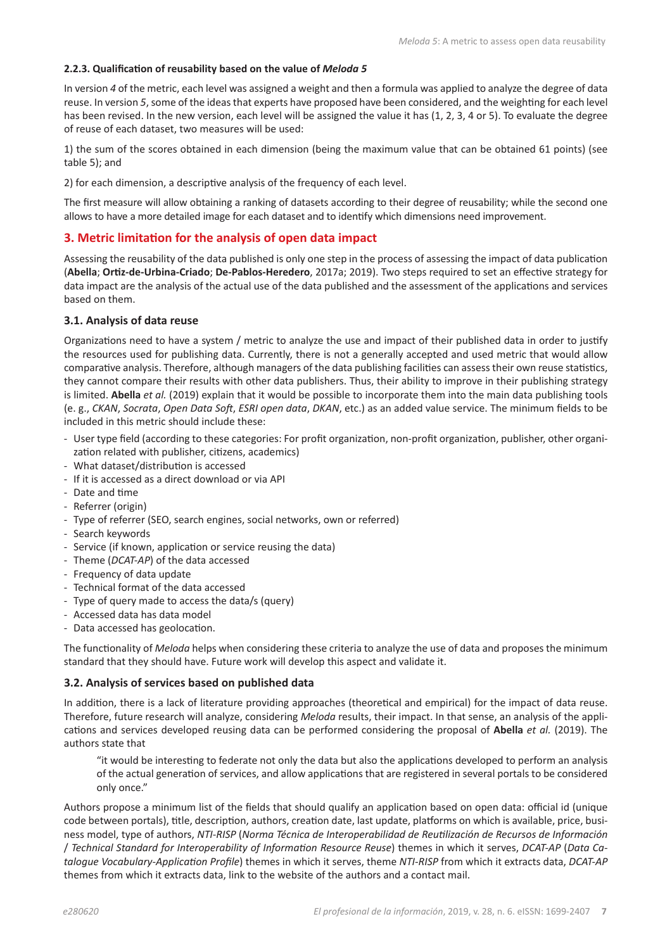### **2.2.3. Qualification of reusability based on the value of** *Meloda 5*

In version *4* of the metric, each level was assigned a weight and then a formula was applied to analyze the degree of data reuse. In version *5*, some of the ideas that experts have proposed have been considered, and the weighting for each level has been revised. In the new version, each level will be assigned the value it has (1, 2, 3, 4 or 5). To evaluate the degree of reuse of each dataset, two measures will be used:

1) the sum of the scores obtained in each dimension (being the maximum value that can be obtained 61 points) (see table 5); and

2) for each dimension, a descriptive analysis of the frequency of each level.

The first measure will allow obtaining a ranking of datasets according to their degree of reusability; while the second one allows to have a more detailed image for each dataset and to identify which dimensions need improvement.

## **3. Metric limitation for the analysis of open data impact**

Assessing the reusability of the data published is only one step in the process of assessing the impact of data publication (**Abella**; **Ortiz-de-Urbina-Criado**; **De-Pablos-Heredero**, 2017a; 2019). Two steps required to set an effective strategy for data impact are the analysis of the actual use of the data published and the assessment of the applications and services based on them.

#### **3.1. Analysis of data reuse**

Organizations need to have a system / metric to analyze the use and impact of their published data in order to justify the resources used for publishing data. Currently, there is not a generally accepted and used metric that would allow comparative analysis. Therefore, although managers of the data publishing facilities can assess their own reuse statistics, they cannot compare their results with other data publishers. Thus, their ability to improve in their publishing strategy is limited. **Abella** *et al.* (2019) explain that it would be possible to incorporate them into the main data publishing tools (e. g., *CKAN*, *Socrata*, *Open Data Soft*, *ESRI open data*, *DKAN*, etc.) as an added value service. The minimum fields to be included in this metric should include these:

- User type field (according to these categories: For profit organization, non-profit organization, publisher, other organization related with publisher, citizens, academics)
- What dataset/distribution is accessed
- If it is accessed as a direct download or via API
- Date and time
- Referrer (origin)
- Type of referrer (SEO, search engines, social networks, own or referred)
- Search keywords
- Service (if known, application or service reusing the data)
- Theme (*DCAT-AP*) of the data accessed
- Frequency of data update
- Technical format of the data accessed
- Type of query made to access the data/s (query)
- Accessed data has data model
- Data accessed has geolocation.

The functionality of *Meloda* helps when considering these criteria to analyze the use of data and proposes the minimum standard that they should have. Future work will develop this aspect and validate it.

#### **3.2. Analysis of services based on published data**

In addition, there is a lack of literature providing approaches (theoretical and empirical) for the impact of data reuse. Therefore, future research will analyze, considering *Meloda* results, their impact. In that sense, an analysis of the applications and services developed reusing data can be performed considering the proposal of **Abella** *et al.* (2019). The authors state that

"it would be interesting to federate not only the data but also the applications developed to perform an analysis of the actual generation of services, and allow applications that are registered in several portals to be considered only once."

Authors propose a minimum list of the fields that should qualify an application based on open data: official id (unique code between portals), title, description, authors, creation date, last update, platforms on which is available, price, business model, type of authors, *NTI-RISP* (*Norma Técnica de Interoperabilidad de Reutilización de Recursos de Información* / *Technical Standard for Interoperability of Information Resource Reuse*) themes in which it serves, *DCAT-AP* (*Data Catalogue Vocabulary-Application Profile*) themes in which it serves, theme *NTI-RISP* from which it extracts data, *DCAT-AP* themes from which it extracts data, link to the website of the authors and a contact mail.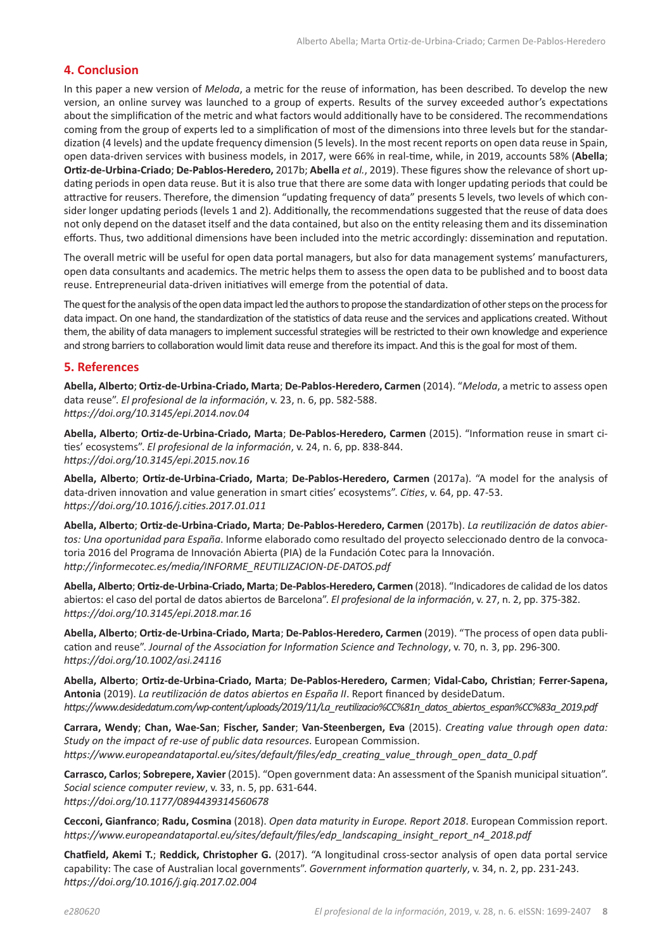## **4. Conclusion**

In this paper a new version of *Meloda*, a metric for the reuse of information, has been described. To develop the new version, an online survey was launched to a group of experts. Results of the survey exceeded author's expectations about the simplification of the metric and what factors would additionally have to be considered. The recommendations coming from the group of experts led to a simplification of most of the dimensions into three levels but for the standardization (4 levels) and the update frequency dimension (5 levels). In the most recent reports on open data reuse in Spain, open data-driven services with business models, in 2017, were 66% in real-time, while, in 2019, accounts 58% (**Abella**; **Ortiz-de-Urbina-Criado**; **De-Pablos-Heredero,** 2017b; **Abella** *et al.*, 2019). These figures show the relevance of short updating periods in open data reuse. But it is also true that there are some data with longer updating periods that could be attractive for reusers. Therefore, the dimension "updating frequency of data" presents 5 levels, two levels of which consider longer updating periods (levels 1 and 2). Additionally, the recommendations suggested that the reuse of data does not only depend on the dataset itself and the data contained, but also on the entity releasing them and its dissemination efforts. Thus, two additional dimensions have been included into the metric accordingly: dissemination and reputation.

The overall metric will be useful for open data portal managers, but also for data management systems' manufacturers, open data consultants and academics. The metric helps them to assess the open data to be published and to boost data reuse. Entrepreneurial data-driven initiatives will emerge from the potential of data.

The quest for the analysis of the open data impact led the authors to propose the standardization of other steps on the process for data impact. On one hand, the standardization of the statistics of data reuse and the services and applications created. Without them, the ability of data managers to implement successful strategies will be restricted to their own knowledge and experience and strong barriers to collaboration would limit data reuse and therefore its impact. And this is the goal for most of them.

## **5. References**

**Abella, Alberto**; **Ortiz-de-Urbina-Criado, Marta**; **De-Pablos-Heredero, Carmen** (2014). "*Meloda*, a metric to assess open data reuse". *El profesional de la información*, v. 23, n. 6, pp. 582-588. *https://doi.org/10.3145/epi.2014.nov.04*

**Abella, Alberto**; **Ortiz-de-Urbina-Criado, Marta**; **De-Pablos-Heredero, Carmen** (2015). "Information reuse in smart cities' ecosystems". *El profesional de la información*, v. 24, n. 6, pp. 838-844. *https://doi.org/10.3145/epi.2015.nov.16*

**Abella, Alberto**; **Ortiz-de-Urbina-Criado, Marta**; **De-Pablos-Heredero, Carmen** (2017a). "A model for the analysis of data-driven innovation and value generation in smart cities' ecosystems". *Cities*, v. 64, pp. 47-53. *https://doi.org/10.1016/j.cities.2017.01.011*

**Abella, Alberto**; **Ortiz-de-Urbina-Criado, Marta**; **De-Pablos-Heredero, Carmen** (2017b). *La reutilización de datos abiertos: Una oportunidad para España*. Informe elaborado como resultado del proyecto seleccionado dentro de la convocatoria 2016 del Programa de Innovación Abierta (PIA) de la Fundación Cotec para la Innovación. *http://informecotec.es/media/INFORME\_REUTILIZACION-DE-DATOS.pdf*

**Abella, Alberto**; **Ortiz-de-Urbina-Criado, Marta**; **De-Pablos-Heredero, Carmen** (2018). "Indicadores de calidad de los datos abiertos: el caso del portal de datos abiertos de Barcelona". *El profesional de la información*, v. 27, n. 2, pp. 375-382. *https://doi.org/10.3145/epi.2018.mar.16*

**Abella, Alberto**; **Ortiz-de-Urbina-Criado, Marta**; **De-Pablos-Heredero, Carmen** (2019). "The process of open data publication and reuse". *Journal of the Association for Information Science and Technology*, v. 70, n. 3, pp. 296-300. *https://doi.org/10.1002/asi.24116*

**Abella, Alberto**; **Ortiz-de-Urbina-Criado, Marta**; **De-Pablos-Heredero, Carmen**; **Vidal-Cabo, Christian**; **Ferrer-Sapena, Antonia** (2019). *La reutilización de datos abiertos en España II*. Report financed by desideDatum. *https://www.desidedatum.com/wp-content/uploads/2019/11/La\_reutilizacio%CC%81n\_datos\_abiertos\_espan%CC%83a\_2019.pdf*

**Carrara, Wendy**; **Chan, Wae-San**; **Fischer, Sander**; **Van-Steenbergen, Eva** (2015). *Creating value through open data: Study on the impact of re-use of public data resources*. European Commission. *https://www.europeandataportal.eu/sites/default/files/edp\_creating\_value\_through\_open\_data\_0.pdf* 

**Carrasco, Carlos**; **Sobrepere, Xavier** (2015). "Open government data: An assessment of the Spanish municipal situation". *Social science computer review*, v. 33, n. 5, pp. 631-644. *https://doi.org/10.1177/0894439314560678*

**Cecconi, Gianfranco**; **Radu, Cosmina** (2018). *Open data maturity in Europe. Report 2018*. European Commission report. *https://www.europeandataportal.eu/sites/default/files/edp\_landscaping\_insight\_report\_n4\_2018.pdf* 

**Chatfield, Akemi T.**; **Reddick, Christopher G.** (2017). "A longitudinal cross-sector analysis of open data portal service capability: The case of Australian local governments". *Government information quarterly*, v. 34, n. 2, pp. 231-243. *https://doi.org/10.1016/j.giq.2017.02.004*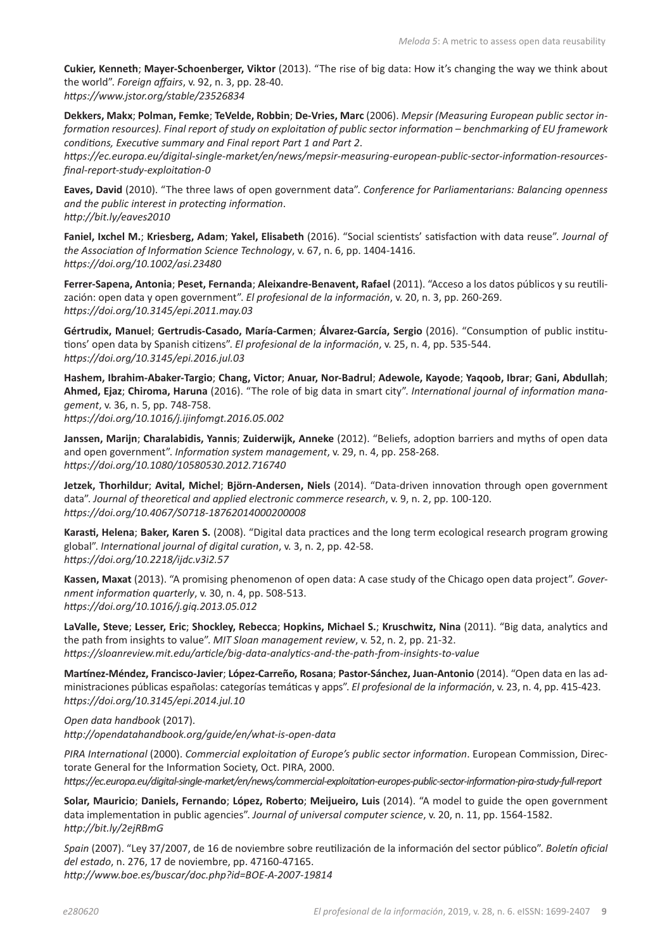**Cukier, Kenneth**; **Mayer-Schoenberger, Viktor** (2013). "The rise of big data: How it's changing the way we think about the world". *Foreign affairs*, v. 92, n. 3, pp. 28-40. *https://www.jstor.org/stable/23526834*

**Dekkers, Makx**; **Polman, Femke**; **TeVelde, Robbin**; **De-Vries, Marc** (2006). *Mepsir (Measuring European public sector information resources). Final report of study on exploitation of public sector information – benchmarking of EU framework conditions, Executive summary and Final report Part 1 and Part 2*.

*[https://ec.europa.eu/digital-single-market/en/news/mepsir-measuring-european-public-sector-information-resources](https://ec.europa.eu/digital-single-market/en/news/mepsir-measuring-european-public-sector-information-resources-final-report-study-exploitation-0)[final-report-study-exploitation-0](https://ec.europa.eu/digital-single-market/en/news/mepsir-measuring-european-public-sector-information-resources-final-report-study-exploitation-0)*

**Eaves, David** (2010). "The three laws of open government data". *Conference for Parliamentarians: Balancing openness and the public interest in protecting information*. *http://bit.ly/eaves2010* 

**Faniel, Ixchel M.**; **Kriesberg, Adam**; **Yakel, Elisabeth** (2016). "Social scientists' satisfaction with data reuse". *Journal of the Association of Information Science Technology*, v. 67, n. 6, pp. 1404-1416. *https://doi.org/10.1002/asi.23480*

**Ferrer-Sapena, Antonia**; **Peset, Fernanda**; **Aleixandre-Benavent, Rafael** (2011). "Acceso a los datos públicos y su reutilización: open data y open government". *El profesional de la información*, v. 20, n. 3, pp. 260-269. *https://doi.org/10.3145/epi.2011.may.03*

**Gértrudix, Manuel**; **Gertrudis-Casado, María-Carmen**; **Álvarez-García, Sergio** (2016). "Consumption of public institutions' open data by Spanish citizens". *El profesional de la información*, v. 25, n. 4, pp. 535-544. *https://doi.org/10.3145/epi.2016.jul.03*

**Hashem, Ibrahim-Abaker-Targio**; **Chang, Victor**; **Anuar, Nor-Badrul**; **Adewole, Kayode**; **Yaqoob, Ibrar**; **Gani, Abdullah**; **Ahmed, Ejaz**; **Chiroma, Haruna** (2016). "The role of big data in smart city". *International journal of information management*, v. 36, n. 5, pp. 748-758. *https://doi.org/10.1016/j.ijinfomgt.2016.05.002*

**Janssen, Marijn**; **Charalabidis, Yannis**; **Zuiderwijk, Anneke** (2012). "Beliefs, adoption barriers and myths of open data and open government". *Information system management*, v. 29, n. 4, pp. 258-268. *https://doi.org/10.1080/10580530.2012.716740*

**Jetzek, Thorhildur**; **Avital, Michel**; **Björn-Andersen, Niels** (2014). "Data-driven innovation through open government data". *Journal of theoretical and applied electronic commerce research*, v. 9, n. 2, pp. 100-120. *https://doi.org/10.4067/S0718-18762014000200008*

**Karasti, Helena**; **Baker, Karen S.** (2008). "Digital data practices and the long term ecological research program growing global". *International journal of digital curation*, v. 3, n. 2, pp. 42-58. *https://doi.org/10.2218/ijdc.v3i2.57*

**Kassen, Maxat** (2013). "A promising phenomenon of open data: A case study of the Chicago open data project". *Government information quarterly*, v. 30, n. 4, pp. 508-513. *https://doi.org/10.1016/j.giq.2013.05.012*

**LaValle, Steve**; **Lesser, Eric**; **Shockley, Rebecca**; **Hopkins, Michael S.**; **Kruschwitz, Nina** (2011). "Big data, analytics and the path from insights to value". *MIT Sloan management review*, v. 52, n. 2, pp. 21-32. *https://sloanreview.mit.edu/article/big-data-analytics-and-the-path-from-insights-to-value*

**Martínez-Méndez, Francisco-Javier**; **López-Carreño, Rosana**; **Pastor-Sánchez, Juan-Antonio** (2014). "Open data en las administraciones públicas españolas: categorías temáticas y apps". *El profesional de la información*, v. 23, n. 4, pp. 415-423. *https://doi.org/10.3145/epi.2014.jul.10*

*Open data handbook* (2017). *http://opendatahandbook.org/guide/en/what-is-open-data*

*PIRA International* (2000). *Commercial exploitation of Europe's public sector information*. European Commission, Directorate General for the Information Society, Oct. PIRA, 2000. *<https://ec.europa.eu/digital-single-market/en/news/commercial-exploitation-europes-public-sector-information-pira-study-full-report>*

**Solar, Mauricio**; **Daniels, Fernando**; **López, Roberto**; **Meijueiro, Luis** (2014). "A model to guide the open government data implementation in public agencies". *Journal of universal computer science*, v. 20, n. 11, pp. 1564-1582. *http://bit.ly/2ejRBmG*

*Spain* (2007). "Ley 37/2007, de 16 de noviembre sobre reutilización de la información del sector público". *Boletín oficial del estado*, n. 276, 17 de noviembre, pp. 47160-47165. *http://www.boe.es/buscar/doc.php?id=BOE-A-2007-19814*